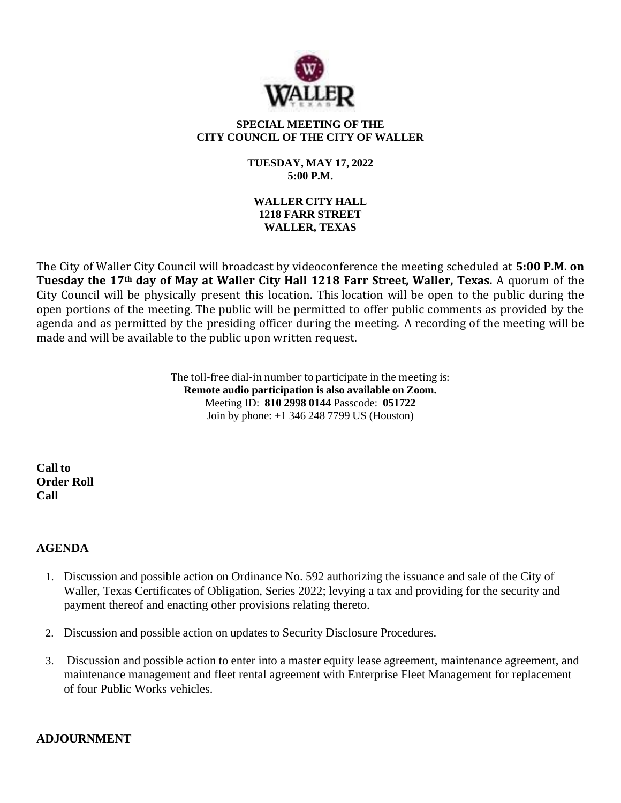

# **SPECIAL MEETING OF THE CITY COUNCIL OF THE CITY OF WALLER**

### **TUESDAY, MAY 17, 2022 5:00 P.M.**

# **WALLER CITY HALL 1218 FARR STREET WALLER, TEXAS**

The City of Waller City Council will broadcast by videoconference the meeting scheduled at **5:00 P.M. on Tuesday the 17th day of May at Waller City Hall 1218 Farr Street, Waller, Texas.** A quorum of the City Council will be physically present this location. This location will be open to the public during the open portions of the meeting. The public will be permitted to offer public comments as provided by the agenda and as permitted by the presiding officer during the meeting. A recording of the meeting will be made and will be available to the public upon written request.

> The toll-free dial-in number to participate in the meeting is: **Remote audio participation is also available on Zoom.** Meeting ID: **810 2998 0144** Passcode: **051722** Join by phone: +1 346 248 7799 US (Houston)

**Call to Order Roll Call**

# **AGENDA**

- 1. Discussion and possible action on Ordinance No. 592 authorizing the issuance and sale of the City of Waller, Texas Certificates of Obligation, Series 2022; levying a tax and providing for the security and payment thereof and enacting other provisions relating thereto.
- 2. Discussion and possible action on updates to Security Disclosure Procedures.
- 3. Discussion and possible action to enter into a master equity lease agreement, maintenance agreement, and maintenance management and fleet rental agreement with Enterprise Fleet Management for replacement of four Public Works vehicles.

# **ADJOURNMENT**